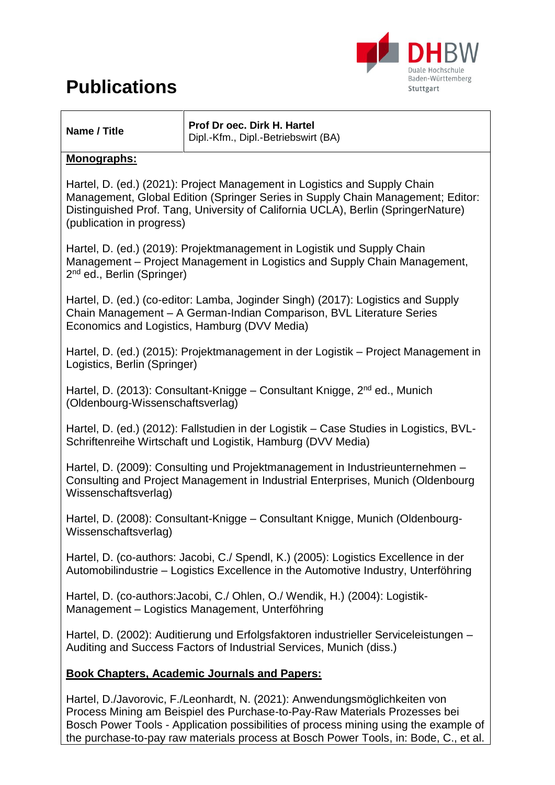

| Name / Title |  |
|--------------|--|

**Prof Dr oec. Dirk H. Hartel** Dipl.-Kfm., Dipl.-Betriebswirt (BA)

#### **Monographs:**

Hartel, D. (ed.) (2021): Project Management in Logistics and Supply Chain Management, Global Edition (Springer Series in Supply Chain Management; Editor: Distinguished Prof. Tang, University of California UCLA), Berlin (SpringerNature) (publication in progress)

Hartel, D. (ed.) (2019): Projektmanagement in Logistik und Supply Chain Management – Project Management in Logistics and Supply Chain Management, 2<sup>nd</sup> ed., Berlin (Springer)

Hartel, D. (ed.) (co-editor: Lamba, Joginder Singh) (2017): Logistics and Supply Chain Management – A German-Indian Comparison, BVL Literature Series Economics and Logistics, Hamburg (DVV Media)

Hartel, D. (ed.) (2015): Projektmanagement in der Logistik – Project Management in Logistics, Berlin (Springer)

Hartel, D. (2013): Consultant-Knigge – Consultant Knigge, 2<sup>nd</sup> ed., Munich (Oldenbourg-Wissenschaftsverlag)

Hartel, D. (ed.) (2012): Fallstudien in der Logistik – Case Studies in Logistics, BVL-Schriftenreihe Wirtschaft und Logistik, Hamburg (DVV Media)

Hartel, D. (2009): Consulting und Projektmanagement in Industrieunternehmen – Consulting and Project Management in Industrial Enterprises, Munich (Oldenbourg Wissenschaftsverlag)

Hartel, D. (2008): Consultant-Knigge – Consultant Knigge, Munich (Oldenbourg-Wissenschaftsverlag)

Hartel, D. (co-authors: Jacobi, C./ Spendl, K.) (2005): Logistics Excellence in der Automobilindustrie – Logistics Excellence in the Automotive Industry, Unterföhring

Hartel, D. (co-authors:Jacobi, C./ Ohlen, O./ Wendik, H.) (2004): Logistik-Management – Logistics Management, Unterföhring

Hartel, D. (2002): Auditierung und Erfolgsfaktoren industrieller Serviceleistungen – Auditing and Success Factors of Industrial Services, Munich (diss.)

#### **Book Chapters, Academic Journals and Papers:**

Hartel, D./Javorovic, F./Leonhardt, N. (2021): Anwendungsmöglichkeiten von Process Mining am Beispiel des Purchase-to-Pay-Raw Materials Prozesses bei Bosch Power Tools - Application possibilities of process mining using the example of the purchase-to-pay raw materials process at Bosch Power Tools, in: Bode, C., et al.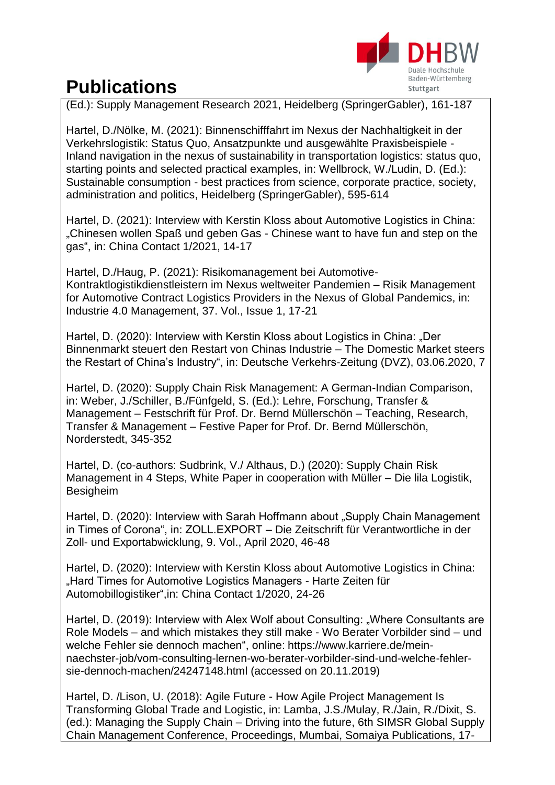

(Ed.): Supply Management Research 2021, Heidelberg (SpringerGabler), 161-187

Hartel, D./Nölke, M. (2021): Binnenschifffahrt im Nexus der Nachhaltigkeit in der Verkehrslogistik: Status Quo, Ansatzpunkte und ausgewählte Praxisbeispiele - Inland navigation in the nexus of sustainability in transportation logistics: status quo, starting points and selected practical examples, in: Wellbrock, W./Ludin, D. (Ed.): Sustainable consumption - best practices from science, corporate practice, society, administration and politics, Heidelberg (SpringerGabler), 595-614

Hartel, D. (2021): Interview with Kerstin Kloss about Automotive Logistics in China: "Chinesen wollen Spaß und geben Gas - Chinese want to have fun and step on the gas", in: China Contact 1/2021, 14-17

Hartel, D./Haug, P. (2021): Risikomanagement bei Automotive-Kontraktlogistikdienstleistern im Nexus weltweiter Pandemien – Risik Management for Automotive Contract Logistics Providers in the Nexus of Global Pandemics, in: Industrie 4.0 Management, 37. Vol., Issue 1, 17-21

Hartel, D. (2020): Interview with Kerstin Kloss about Logistics in China: "Der Binnenmarkt steuert den Restart von Chinas Industrie – The Domestic Market steers the Restart of China's Industry", in: Deutsche Verkehrs-Zeitung (DVZ), 03.06.2020, 7

Hartel, D. (2020): Supply Chain Risk Management: A German-Indian Comparison, in: Weber, J./Schiller, B./Fünfgeld, S. (Ed.): Lehre, Forschung, Transfer & Management – Festschrift für Prof. Dr. Bernd Müllerschön – Teaching, Research, Transfer & Management – Festive Paper for Prof. Dr. Bernd Müllerschön, Norderstedt, 345-352

Hartel, D. (co-authors: Sudbrink, V./ Althaus, D.) (2020): Supply Chain Risk Management in 4 Steps, White Paper in cooperation with Müller – Die lila Logistik, Besigheim

Hartel, D. (2020): Interview with Sarah Hoffmann about "Supply Chain Management in Times of Corona", in: ZOLL.EXPORT – Die Zeitschrift für Verantwortliche in der Zoll- und Exportabwicklung, 9. Vol., April 2020, 46-48

Hartel, D. (2020): Interview with Kerstin Kloss about Automotive Logistics in China: "Hard Times for Automotive Logistics Managers - Harte Zeiten für Automobillogistiker",in: China Contact 1/2020, 24-26

Hartel, D. (2019): Interview with Alex Wolf about Consulting: "Where Consultants are Role Models – and which mistakes they still make - Wo Berater Vorbilder sind – und welche Fehler sie dennoch machen", online: https://www.karriere.de/meinnaechster-job/vom-consulting-lernen-wo-berater-vorbilder-sind-und-welche-fehlersie-dennoch-machen/24247148.html (accessed on 20.11.2019)

Hartel, D. /Lison, U. (2018): Agile Future - How Agile Project Management Is Transforming Global Trade and Logistic, in: Lamba, J.S./Mulay, R./Jain, R./Dixit, S. (ed.): Managing the Supply Chain – Driving into the future, 6th SIMSR Global Supply Chain Management Conference, Proceedings, Mumbai, Somaiya Publications, 17-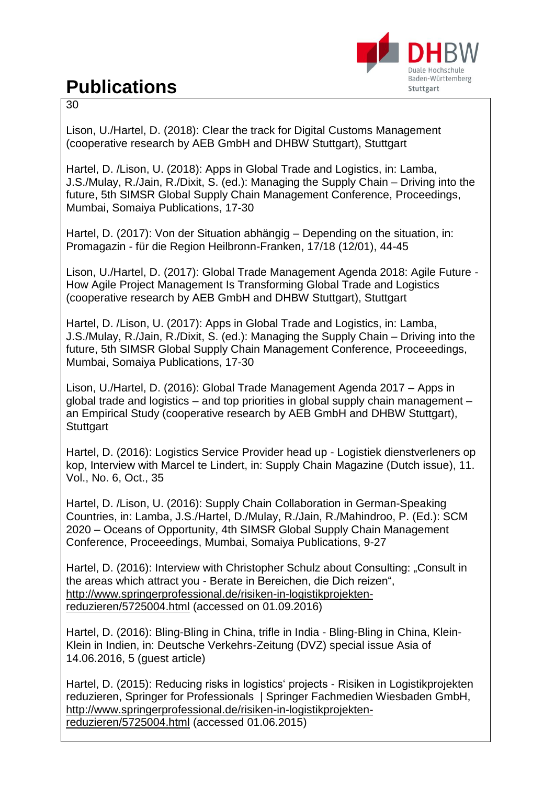

30

Lison, U./Hartel, D. (2018): Clear the track for Digital Customs Management (cooperative research by AEB GmbH and DHBW Stuttgart), Stuttgart

Hartel, D. /Lison, U. (2018): Apps in Global Trade and Logistics, in: Lamba, J.S./Mulay, R./Jain, R./Dixit, S. (ed.): Managing the Supply Chain – Driving into the future, 5th SIMSR Global Supply Chain Management Conference, Proceedings, Mumbai, Somaiya Publications, 17-30

Hartel, D. (2017): Von der Situation abhängig – Depending on the situation, in: Promagazin - für die Region Heilbronn-Franken, 17/18 (12/01), 44-45

Lison, U./Hartel, D. (2017): Global Trade Management Agenda 2018: Agile Future - How Agile Project Management Is Transforming Global Trade and Logistics (cooperative research by AEB GmbH and DHBW Stuttgart), Stuttgart

Hartel, D. /Lison, U. (2017): Apps in Global Trade and Logistics, in: Lamba, J.S./Mulay, R./Jain, R./Dixit, S. (ed.): Managing the Supply Chain – Driving into the future, 5th SIMSR Global Supply Chain Management Conference, Proceeedings, Mumbai, Somaiya Publications, 17-30

Lison, U./Hartel, D. (2016): Global Trade Management Agenda 2017 – Apps in global trade and logistics – and top priorities in global supply chain management – an Empirical Study (cooperative research by AEB GmbH and DHBW Stuttgart), **Stuttgart** 

Hartel, D. (2016): Logistics Service Provider head up - Logistiek dienstverleners op kop, Interview with Marcel te Lindert, in: Supply Chain Magazine (Dutch issue), 11. Vol., No. 6, Oct., 35

Hartel, D. /Lison, U. (2016): Supply Chain Collaboration in German-Speaking Countries, in: Lamba, J.S./Hartel, D./Mulay, R./Jain, R./Mahindroo, P. (Ed.): SCM 2020 – Oceans of Opportunity, 4th SIMSR Global Supply Chain Management Conference, Proceeedings, Mumbai, Somaiya Publications, 9-27

Hartel, D. (2016): Interview with Christopher Schulz about Consulting: "Consult in the areas which attract you - Berate in Bereichen, die Dich reizen", [http://www.springerprofessional.de/risiken-in-logistikprojekten](http://www.springerprofessional.de/risiken-in-logistikprojekten-reduzieren/5725004.html%20vom%2001.06.2015)[reduzieren/5725004.html](http://www.springerprofessional.de/risiken-in-logistikprojekten-reduzieren/5725004.html%20vom%2001.06.2015) (accessed on 01.09.2016)

Hartel, D. (2016): Bling-Bling in China, trifle in India - Bling-Bling in China, Klein-Klein in Indien, in: Deutsche Verkehrs-Zeitung (DVZ) special issue Asia of 14.06.2016, 5 (guest article)

Hartel, D. (2015): Reducing risks in logistics' projects - Risiken in Logistikprojekten reduzieren, Springer for Professionals | Springer Fachmedien Wiesbaden GmbH, [http://www.springerprofessional.de/risiken-in-logistikprojekten](http://www.springerprofessional.de/risiken-in-logistikprojekten-reduzieren/5725004.html%20vom%2001.06.2015)[reduzieren/5725004.html](http://www.springerprofessional.de/risiken-in-logistikprojekten-reduzieren/5725004.html%20vom%2001.06.2015) (accessed 01.06.2015)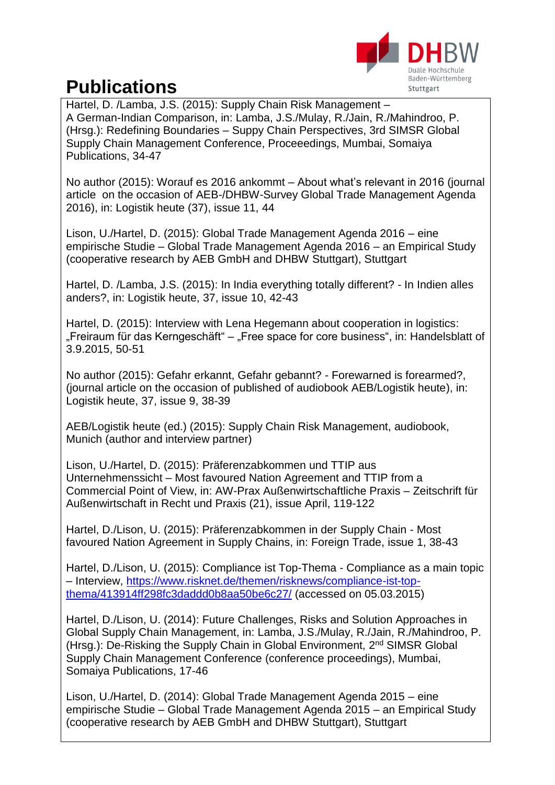

Hartel, D. /Lamba, J.S. (2015): Supply Chain Risk Management – A German-Indian Comparison, in: Lamba, J.S./Mulay, R./Jain, R./Mahindroo, P. (Hrsg.): Redefining Boundaries – Suppy Chain Perspectives, 3rd SIMSR Global Supply Chain Management Conference, Proceeedings, Mumbai, Somaiya Publications, 34-47

No author (2015): Worauf es 2016 ankommt – About what's relevant in 2016 (journal article on the occasion of AEB-/DHBW-Survey Global Trade Management Agenda 2016), in: Logistik heute (37), issue 11, 44

Lison, U./Hartel, D. (2015): Global Trade Management Agenda 2016 – eine empirische Studie – Global Trade Management Agenda 2016 – an Empirical Study (cooperative research by AEB GmbH and DHBW Stuttgart), Stuttgart

Hartel, D. /Lamba, J.S. (2015): In India everything totally different? - In Indien alles anders?, in: Logistik heute, 37, issue 10, 42-43

Hartel, D. (2015): Interview with Lena Hegemann about cooperation in logistics: "Freiraum für das Kerngeschäft" – "Free space for core business", in: Handelsblatt of 3.9.2015, 50-51

No author (2015): Gefahr erkannt, Gefahr gebannt? - Forewarned is forearmed?, (journal article on the occasion of published of audiobook AEB/Logistik heute), in: Logistik heute, 37, issue 9, 38-39

AEB/Logistik heute (ed.) (2015): Supply Chain Risk Management, audiobook, Munich (author and interview partner)

Lison, U./Hartel, D. (2015): Präferenzabkommen und TTIP aus Unternehmenssicht – Most favoured Nation Agreement and TTIP from a Commercial Point of View, in: AW-Prax Außenwirtschaftliche Praxis – Zeitschrift für Außenwirtschaft in Recht und Praxis (21), issue April, 119-122

Hartel, D./Lison, U. (2015): Präferenzabkommen in der Supply Chain - Most favoured Nation Agreement in Supply Chains, in: Foreign Trade, issue 1, 38-43

Hartel, D./Lison, U. (2015): Compliance ist Top-Thema - Compliance as a main topic – Interview, [https://www.risknet.de/themen/risknews/compliance-ist-top](https://www.risknet.de/themen/risknews/compliance-ist-top-thema/413914ff298fc3daddd0b8aa50be6c27/)[thema/413914ff298fc3daddd0b8aa50be6c27/](https://www.risknet.de/themen/risknews/compliance-ist-top-thema/413914ff298fc3daddd0b8aa50be6c27/) (accessed on 05.03.2015)

Hartel, D./Lison, U. (2014): Future Challenges, Risks and Solution Approaches in Global Supply Chain Management, in: Lamba, J.S./Mulay, R./Jain, R./Mahindroo, P. (Hrsg.): De-Risking the Supply Chain in Global Environment, 2<sup>nd</sup> SIMSR Global Supply Chain Management Conference (conference proceedings), Mumbai, Somaiya Publications, 17-46

Lison, U./Hartel, D. (2014): Global Trade Management Agenda 2015 – eine empirische Studie – Global Trade Management Agenda 2015 – an Empirical Study (cooperative research by AEB GmbH and DHBW Stuttgart), Stuttgart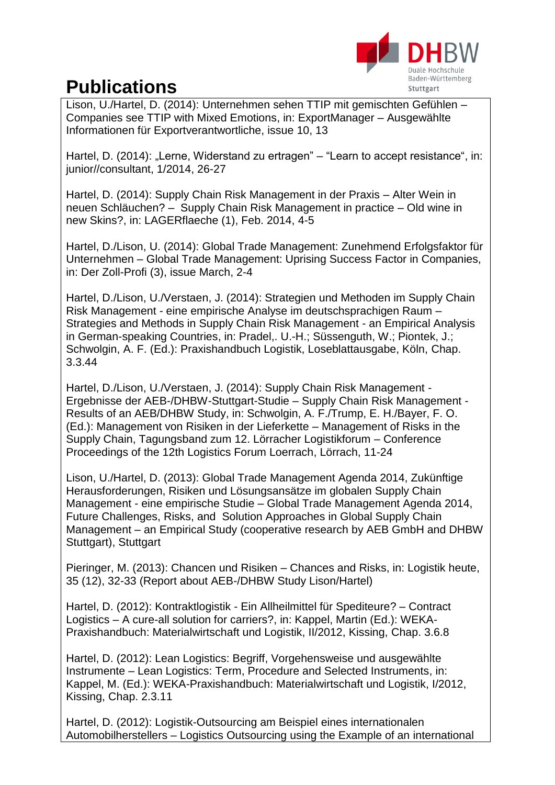

Lison, U./Hartel, D. (2014): Unternehmen sehen TTIP mit gemischten Gefühlen – Companies see TTIP with Mixed Emotions, in: ExportManager – Ausgewählte Informationen für Exportverantwortliche, issue 10, 13

Hartel, D. (2014): "Lerne, Widerstand zu ertragen" – "Learn to accept resistance", in: junior//consultant, 1/2014, 26-27

Hartel, D. (2014): Supply Chain Risk Management in der Praxis – Alter Wein in neuen Schläuchen? – Supply Chain Risk Management in practice – Old wine in new Skins?, in: LAGERflaeche (1), Feb. 2014, 4-5

Hartel, D./Lison, U. (2014): Global Trade Management: Zunehmend Erfolgsfaktor für Unternehmen – Global Trade Management: Uprising Success Factor in Companies, in: Der Zoll-Profi (3), issue March, 2-4

Hartel, D./Lison, U./Verstaen, J. (2014): Strategien und Methoden im Supply Chain Risk Management - eine empirische Analyse im deutschsprachigen Raum – Strategies and Methods in Supply Chain Risk Management - an Empirical Analysis in German-speaking Countries, in: Pradel,. U.-H.; Süssenguth, W.; Piontek, J.; Schwolgin, A. F. (Ed.): Praxishandbuch Logistik, Loseblattausgabe, Köln, Chap. 3.3.44

Hartel, D./Lison, U./Verstaen, J. (2014): Supply Chain Risk Management - Ergebnisse der AEB-/DHBW-Stuttgart-Studie – Supply Chain Risk Management - Results of an AEB/DHBW Study, in: Schwolgin, A. F./Trump, E. H./Bayer, F. O. (Ed.): Management von Risiken in der Lieferkette – Management of Risks in the Supply Chain, Tagungsband zum 12. Lörracher Logistikforum – Conference Proceedings of the 12th Logistics Forum Loerrach, Lörrach, 11-24

Lison, U./Hartel, D. (2013): Global Trade Management Agenda 2014, Zukünftige Herausforderungen, Risiken und Lösungsansätze im globalen Supply Chain Management - eine empirische Studie – Global Trade Management Agenda 2014, Future Challenges, Risks, and Solution Approaches in Global Supply Chain Management – an Empirical Study (cooperative research by AEB GmbH and DHBW Stuttgart), Stuttgart

Pieringer, M. (2013): Chancen und Risiken – Chances and Risks, in: Logistik heute, 35 (12), 32-33 (Report about AEB-/DHBW Study Lison/Hartel)

Hartel, D. (2012): Kontraktlogistik - Ein Allheilmittel für Spediteure? – Contract Logistics – A cure-all solution for carriers?, in: Kappel, Martin (Ed.): WEKA-Praxishandbuch: Materialwirtschaft und Logistik, II/2012, Kissing, Chap. 3.6.8

Hartel, D. (2012): Lean Logistics: Begriff, Vorgehensweise und ausgewählte Instrumente – Lean Logistics: Term, Procedure and Selected Instruments, in: Kappel, M. (Ed.): WEKA-Praxishandbuch: Materialwirtschaft und Logistik, I/2012, Kissing, Chap. 2.3.11

Hartel, D. (2012): Logistik-Outsourcing am Beispiel eines internationalen Automobilherstellers – Logistics Outsourcing using the Example of an international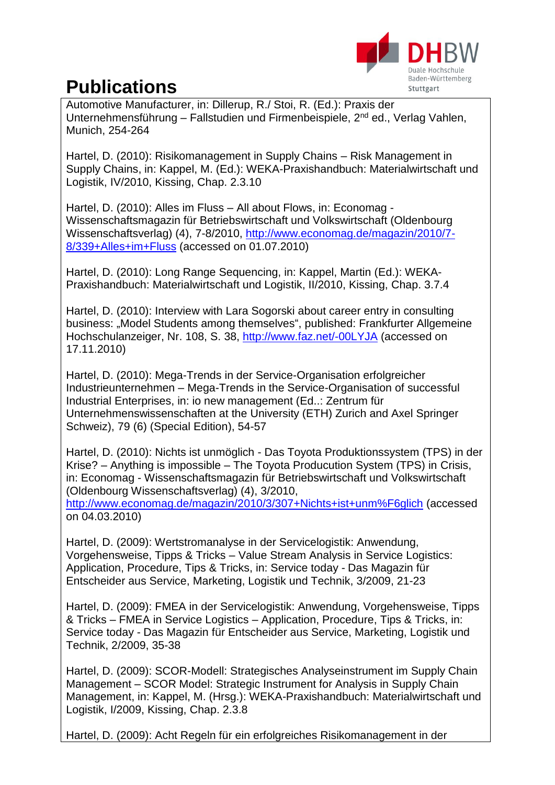

Automotive Manufacturer, in: Dillerup, R./ Stoi, R. (Ed.): Praxis der Unternehmensführung – Fallstudien und Firmenbeispiele, 2nd ed., Verlag Vahlen, Munich, 254-264

Hartel, D. (2010): Risikomanagement in Supply Chains – Risk Management in Supply Chains, in: Kappel, M. (Ed.): WEKA-Praxishandbuch: Materialwirtschaft und Logistik, IV/2010, Kissing, Chap. 2.3.10

Hartel, D. (2010): Alles im Fluss – All about Flows, in: Economag - Wissenschaftsmagazin für Betriebswirtschaft und Volkswirtschaft (Oldenbourg Wissenschaftsverlag) (4), 7-8/2010, [http://www.economag.de/magazin/2010/7-](http://www.economag.de/magazin/2010/7-8/339+Alles+im+Fluss) [8/339+Alles+im+Fluss](http://www.economag.de/magazin/2010/7-8/339+Alles+im+Fluss) (accessed on 01.07.2010)

Hartel, D. (2010): Long Range Sequencing, in: Kappel, Martin (Ed.): WEKA-Praxishandbuch: Materialwirtschaft und Logistik, II/2010, Kissing, Chap. 3.7.4

Hartel, D. (2010): Interview with Lara Sogorski about career entry in consulting business: "Model Students among themselves", published: Frankfurter Allgemeine Hochschulanzeiger, Nr. 108, S. 38,<http://www.faz.net/-00LYJA> (accessed on 17.11.2010)

Hartel, D. (2010): Mega-Trends in der Service-Organisation erfolgreicher Industrieunternehmen – Mega-Trends in the Service-Organisation of successful Industrial Enterprises, in: io new management (Ed..: Zentrum für Unternehmenswissenschaften at the University (ETH) Zurich and Axel Springer Schweiz), 79 (6) (Special Edition), 54-57

Hartel, D. (2010): Nichts ist unmöglich - Das Toyota Produktionssystem (TPS) in der Krise? – Anything is impossible – The Toyota Producution System (TPS) in Crisis, in: Economag - Wissenschaftsmagazin für Betriebswirtschaft und Volkswirtschaft (Oldenbourg Wissenschaftsverlag) (4), 3/2010, http://www.economag.de/magazin/2010/3/307+Nichts+ist+unm%F6glich (accessed on 04.03.2010)

Hartel, D. (2009): Wertstromanalyse in der Servicelogistik: Anwendung, Vorgehensweise, Tipps & Tricks – Value Stream Analysis in Service Logistics: Application, Procedure, Tips & Tricks, in: Service today - Das Magazin für Entscheider aus Service, Marketing, Logistik und Technik, 3/2009, 21-23

Hartel, D. (2009): FMEA in der Servicelogistik: Anwendung, Vorgehensweise, Tipps & Tricks – FMEA in Service Logistics – Application, Procedure, Tips & Tricks, in: Service today - Das Magazin für Entscheider aus Service, Marketing, Logistik und Technik, 2/2009, 35-38

Hartel, D. (2009): SCOR-Modell: Strategisches Analyseinstrument im Supply Chain Management – SCOR Model: Strategic Instrument for Analysis in Supply Chain Management, in: Kappel, M. (Hrsg.): WEKA-Praxishandbuch: Materialwirtschaft und Logistik, I/2009, Kissing, Chap. 2.3.8

Hartel, D. (2009): Acht Regeln für ein erfolgreiches Risikomanagement in der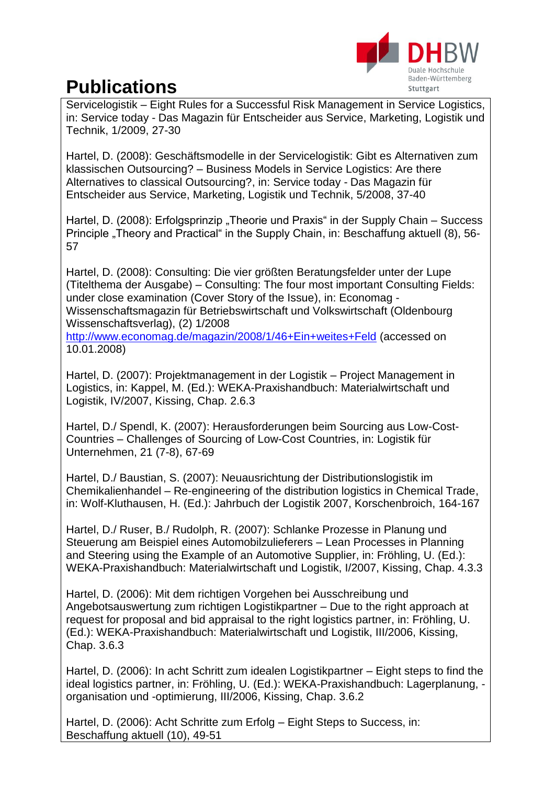

Servicelogistik – Eight Rules for a Successful Risk Management in Service Logistics, in: Service today - Das Magazin für Entscheider aus Service, Marketing, Logistik und Technik, 1/2009, 27-30

Hartel, D. (2008): Geschäftsmodelle in der Servicelogistik: Gibt es Alternativen zum klassischen Outsourcing? – Business Models in Service Logistics: Are there Alternatives to classical Outsourcing?, in: Service today - Das Magazin für Entscheider aus Service, Marketing, Logistik und Technik, 5/2008, 37-40

Hartel, D. (2008): Erfolgsprinzip "Theorie und Praxis" in der Supply Chain – Success Principle "Theory and Practical" in the Supply Chain, in: Beschaffung aktuell (8), 56-57

Hartel, D. (2008): Consulting: Die vier größten Beratungsfelder unter der Lupe (Titelthema der Ausgabe) – Consulting: The four most important Consulting Fields: under close examination (Cover Story of the Issue), in: Economag - Wissenschaftsmagazin für Betriebswirtschaft und Volkswirtschaft (Oldenbourg Wissenschaftsverlag), (2) 1/2008

<http://www.economag.de/magazin/2008/1/46+Ein+weites+Feld> (accessed on 10.01.2008)

Hartel, D. (2007): Projektmanagement in der Logistik – Project Management in Logistics, in: Kappel, M. (Ed.): WEKA-Praxishandbuch: Materialwirtschaft und Logistik, IV/2007, Kissing, Chap. 2.6.3

Hartel, D./ Spendl, K. (2007): Herausforderungen beim Sourcing aus Low-Cost-Countries – Challenges of Sourcing of Low-Cost Countries, in: Logistik für Unternehmen, 21 (7-8), 67-69

Hartel, D./ Baustian, S. (2007): Neuausrichtung der Distributionslogistik im Chemikalienhandel – Re-engineering of the distribution logistics in Chemical Trade, in: Wolf-Kluthausen, H. (Ed.): Jahrbuch der Logistik 2007, Korschenbroich, 164-167

Hartel, D./ Ruser, B./ Rudolph, R. (2007): Schlanke Prozesse in Planung und Steuerung am Beispiel eines Automobilzulieferers – Lean Processes in Planning and Steering using the Example of an Automotive Supplier, in: Fröhling, U. (Ed.): WEKA-Praxishandbuch: Materialwirtschaft und Logistik, I/2007, Kissing, Chap. 4.3.3

Hartel, D. (2006): Mit dem richtigen Vorgehen bei Ausschreibung und Angebotsauswertung zum richtigen Logistikpartner – Due to the right approach at request for proposal and bid appraisal to the right logistics partner, in: Fröhling, U. (Ed.): WEKA-Praxishandbuch: Materialwirtschaft und Logistik, III/2006, Kissing, Chap. 3.6.3

Hartel, D. (2006): In acht Schritt zum idealen Logistikpartner – Eight steps to find the ideal logistics partner, in: Fröhling, U. (Ed.): WEKA-Praxishandbuch: Lagerplanung, organisation und -optimierung, III/2006, Kissing, Chap. 3.6.2

Hartel, D. (2006): Acht Schritte zum Erfolg – Eight Steps to Success, in: Beschaffung aktuell (10), 49-51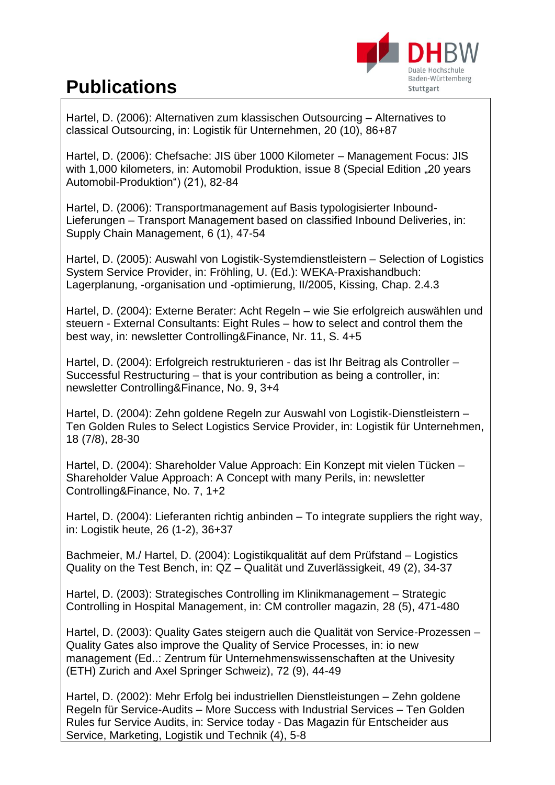

Hartel, D. (2006): Alternativen zum klassischen Outsourcing – Alternatives to classical Outsourcing, in: Logistik für Unternehmen, 20 (10), 86+87

Hartel, D. (2006): Chefsache: JIS über 1000 Kilometer – Management Focus: JIS with 1,000 kilometers, in: Automobil Produktion, issue 8 (Special Edition ..20 years Automobil-Produktion") (21), 82-84

Hartel, D. (2006): Transportmanagement auf Basis typologisierter Inbound-Lieferungen – Transport Management based on classified Inbound Deliveries, in: Supply Chain Management, 6 (1), 47-54

Hartel, D. (2005): Auswahl von Logistik-Systemdienstleistern – Selection of Logistics System Service Provider, in: Fröhling, U. (Ed.): WEKA-Praxishandbuch: Lagerplanung, -organisation und -optimierung, II/2005, Kissing, Chap. 2.4.3

Hartel, D. (2004): Externe Berater: Acht Regeln – wie Sie erfolgreich auswählen und steuern - External Consultants: Eight Rules – how to select and control them the best way, in: newsletter Controlling&Finance, Nr. 11, S. 4+5

Hartel, D. (2004): Erfolgreich restrukturieren - das ist Ihr Beitrag als Controller – Successful Restructuring – that is your contribution as being a controller, in: newsletter Controlling&Finance, No. 9, 3+4

Hartel, D. (2004): Zehn goldene Regeln zur Auswahl von Logistik-Dienstleistern – Ten Golden Rules to Select Logistics Service Provider, in: Logistik für Unternehmen, 18 (7/8), 28-30

Hartel, D. (2004): Shareholder Value Approach: Ein Konzept mit vielen Tücken – Shareholder Value Approach: A Concept with many Perils, in: newsletter Controlling&Finance, No. 7, 1+2

Hartel, D. (2004): Lieferanten richtig anbinden – To integrate suppliers the right way, in: Logistik heute, 26 (1-2), 36+37

Bachmeier, M./ Hartel, D. (2004): Logistikqualität auf dem Prüfstand – Logistics Quality on the Test Bench, in: QZ – Qualität und Zuverlässigkeit, 49 (2), 34-37

Hartel, D. (2003): Strategisches Controlling im Klinikmanagement – Strategic Controlling in Hospital Management, in: CM controller magazin, 28 (5), 471-480

Hartel, D. (2003): Quality Gates steigern auch die Qualität von Service-Prozessen – Quality Gates also improve the Quality of Service Processes, in: io new management (Ed..: Zentrum für Unternehmenswissenschaften at the Univesity (ETH) Zurich and Axel Springer Schweiz), 72 (9), 44-49

Hartel, D. (2002): Mehr Erfolg bei industriellen Dienstleistungen – Zehn goldene Regeln für Service-Audits – More Success with Industrial Services – Ten Golden Rules fur Service Audits, in: Service today - Das Magazin für Entscheider aus Service, Marketing, Logistik und Technik (4), 5-8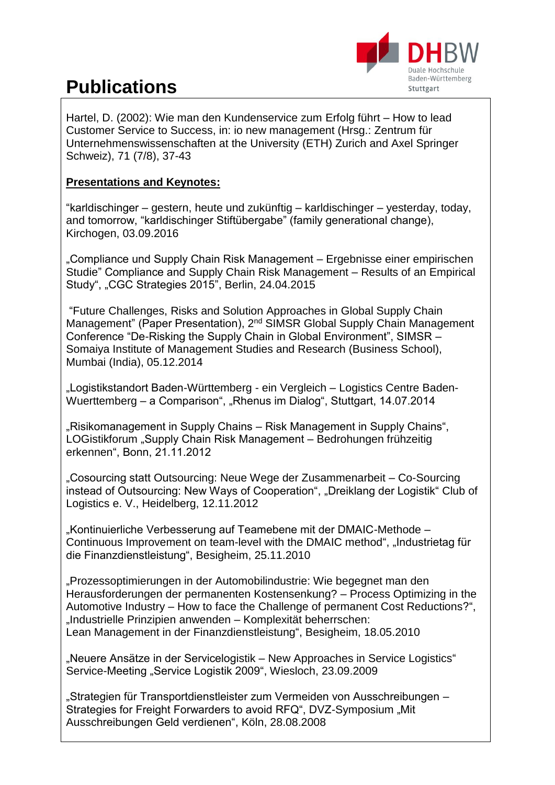

Hartel, D. (2002): Wie man den Kundenservice zum Erfolg führt – How to lead Customer Service to Success, in: io new management (Hrsg.: Zentrum für Unternehmenswissenschaften at the University (ETH) Zurich and Axel Springer Schweiz), 71 (7/8), 37-43

#### **Presentations and Keynotes:**

"karldischinger – gestern, heute und zukünftig – karldischinger – yesterday, today, and tomorrow, "karldischinger Stiftübergabe" (family generational change), Kirchogen, 03.09.2016

"Compliance und Supply Chain Risk Management – Ergebnisse einer empirischen Studie" Compliance and Supply Chain Risk Management – Results of an Empirical Study", "CGC Strategies 2015", Berlin, 24.04.2015

"Future Challenges, Risks and Solution Approaches in Global Supply Chain Management" (Paper Presentation), 2<sup>nd</sup> SIMSR Global Supply Chain Management Conference "De-Risking the Supply Chain in Global Environment", SIMSR – Somaiya Institute of Management Studies and Research (Business School), Mumbai (India), 05.12.2014

"Logistikstandort Baden-Württemberg - ein Vergleich – Logistics Centre Baden-Wuerttemberg – a Comparison", "Rhenus im Dialog", Stuttgart, 14.07.2014

"Risikomanagement in Supply Chains – Risk Management in Supply Chains", LOGistikforum "Supply Chain Risk Management – Bedrohungen frühzeitig erkennen", Bonn, 21.11.2012

"Cosourcing statt Outsourcing: Neue Wege der Zusammenarbeit – Co-Sourcing instead of Outsourcing: New Ways of Cooperation", "Dreiklang der Logistik" Club of Logistics e. V., Heidelberg, 12.11.2012

"Kontinuierliche Verbesserung auf Teamebene mit der DMAIC-Methode – Continuous Improvement on team-level with the DMAIC method", "Industrietag für die Finanzdienstleistung", Besigheim, 25.11.2010

"Prozessoptimierungen in der Automobilindustrie: Wie begegnet man den Herausforderungen der permanenten Kostensenkung? – Process Optimizing in the Automotive Industry – How to face the Challenge of permanent Cost Reductions?", "Industrielle Prinzipien anwenden – Komplexität beherrschen: Lean Management in der Finanzdienstleistung", Besigheim, 18.05.2010

"Neuere Ansätze in der Servicelogistik – New Approaches in Service Logistics" Service-Meeting "Service Logistik 2009", Wiesloch, 23.09.2009

"Strategien für Transportdienstleister zum Vermeiden von Ausschreibungen – Strategies for Freight Forwarders to avoid RFQ", DVZ-Symposium "Mit Ausschreibungen Geld verdienen", Köln, 28.08.2008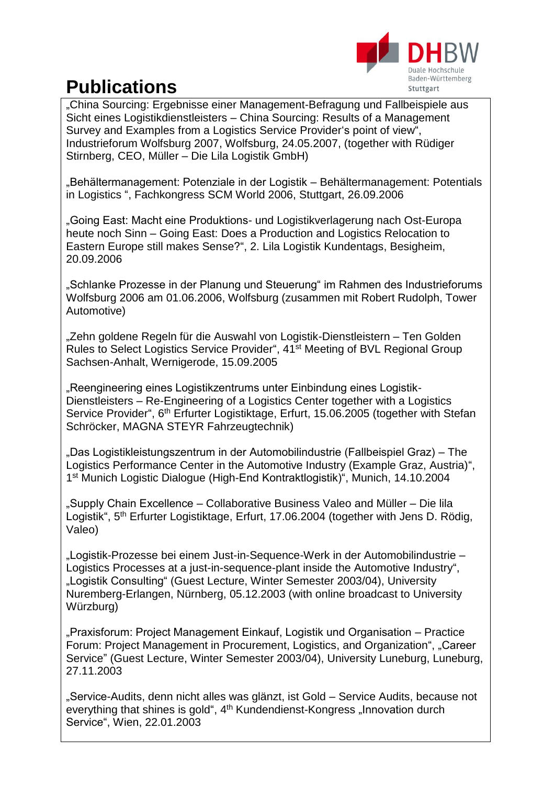

"China Sourcing: Ergebnisse einer Management-Befragung und Fallbeispiele aus Sicht eines Logistikdienstleisters – China Sourcing: Results of a Management Survey and Examples from a Logistics Service Provider's point of view", Industrieforum Wolfsburg 2007, Wolfsburg, 24.05.2007, (together with Rüdiger Stirnberg, CEO, Müller – Die Lila Logistik GmbH)

"Behältermanagement: Potenziale in der Logistik – Behältermanagement: Potentials in Logistics ", Fachkongress SCM World 2006, Stuttgart, 26.09.2006

"Going East: Macht eine Produktions- und Logistikverlagerung nach Ost-Europa heute noch Sinn – Going East: Does a Production and Logistics Relocation to Eastern Europe still makes Sense?", 2. Lila Logistik Kundentags, Besigheim, 20.09.2006

"Schlanke Prozesse in der Planung und Steuerung" im Rahmen des Industrieforums Wolfsburg 2006 am 01.06.2006, Wolfsburg (zusammen mit Robert Rudolph, Tower Automotive)

"Zehn goldene Regeln für die Auswahl von Logistik-Dienstleistern – Ten Golden Rules to Select Logistics Service Provider", 41<sup>st</sup> Meeting of BVL Regional Group Sachsen-Anhalt, Wernigerode, 15.09.2005

"Reengineering eines Logistikzentrums unter Einbindung eines Logistik-Dienstleisters – Re-Engineering of a Logistics Center together with a Logistics Service Provider", 6<sup>th</sup> Erfurter Logistiktage, Erfurt, 15.06.2005 (together with Stefan Schröcker, MAGNA STEYR Fahrzeugtechnik)

"Das Logistikleistungszentrum in der Automobilindustrie (Fallbeispiel Graz) – The Logistics Performance Center in the Automotive Industry (Example Graz, Austria)", 1 st Munich Logistic Dialogue (High-End Kontraktlogistik)", Munich, 14.10.2004

"Supply Chain Excellence – Collaborative Business Valeo and Müller – Die lila Logistik", 5<sup>th</sup> Erfurter Logistiktage, Erfurt, 17.06.2004 (together with Jens D. Rödig, Valeo)

"Logistik-Prozesse bei einem Just-in-Sequence-Werk in der Automobilindustrie -Logistics Processes at a just-in-sequence-plant inside the Automotive Industry", "Logistik Consulting" (Guest Lecture, Winter Semester 2003/04), University Nuremberg-Erlangen, Nürnberg, 05.12.2003 (with online broadcast to University Würzburg)

"Praxisforum: Project Management Einkauf, Logistik und Organisation – Practice Forum: Project Management in Procurement, Logistics, and Organization", "Career Service" (Guest Lecture, Winter Semester 2003/04), University Luneburg, Luneburg, 27.11.2003

"Service-Audits, denn nicht alles was glänzt, ist Gold – Service Audits, because not everything that shines is gold", 4<sup>th</sup> Kundendienst-Kongress "Innovation durch Service", Wien, 22.01.2003